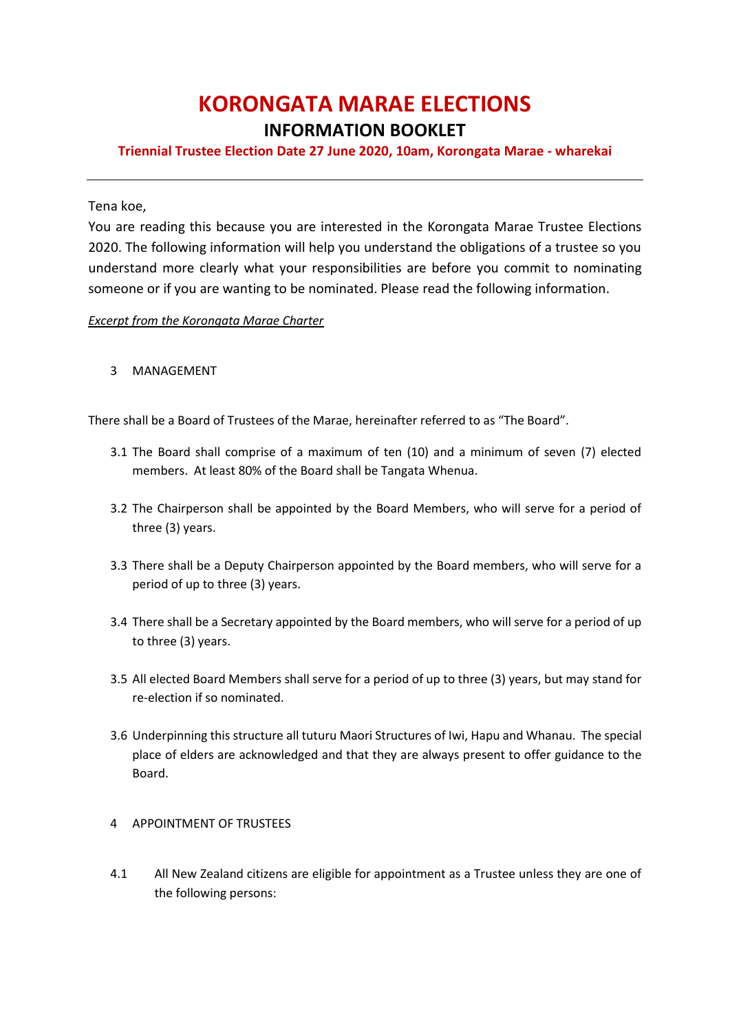# **KORONGATA MARAE ELECTIONS**

### **INFORMATION BOOKLET**

#### **Triennial Trustee Election Date 27 June 2020, 10am, Korongata Marae - wharekai**

Tena koe,

You are reading this because you are interested in the Korongata Marae Trustee Elections 2020. The following information will help you understand the obligations of a trustee so you understand more clearly what your responsibilities are before you commit to nominating someone or if you are wanting to be nominated. Please read the following information.

#### *Excerpt from the Korongata Marae Charter*

3 MANAGEMENT

There shall be a Board of Trustees of the Marae, hereinafter referred to as "The Board".

- 3.1 The Board shall comprise of a maximum of ten (10) and a minimum of seven (7) elected members. At least 80% of the Board shall be Tangata Whenua.
- 3.2 The Chairperson shall be appointed by the Board Members, who will serve for a period of three (3) years.
- 3.3 There shall be a Deputy Chairperson appointed by the Board members, who will serve for a period of up to three (3) years.
- 3.4 There shall be a Secretary appointed by the Board members, who will serve for a period of up to three (3) years.
- 3.5 All elected Board Members shall serve for a period of up to three (3) years, but may stand for re-election if so nominated.
- 3.6 Underpinning this structure all tuturu Maori Structures of Iwi, Hapu and Whanau. The special place of elders are acknowledged and that they are always present to offer guidance to the Board.

#### 4 APPOINTMENT OF TRUSTEES

4.1 All New Zealand citizens are eligible for appointment as a Trustee unless they are one of the following persons: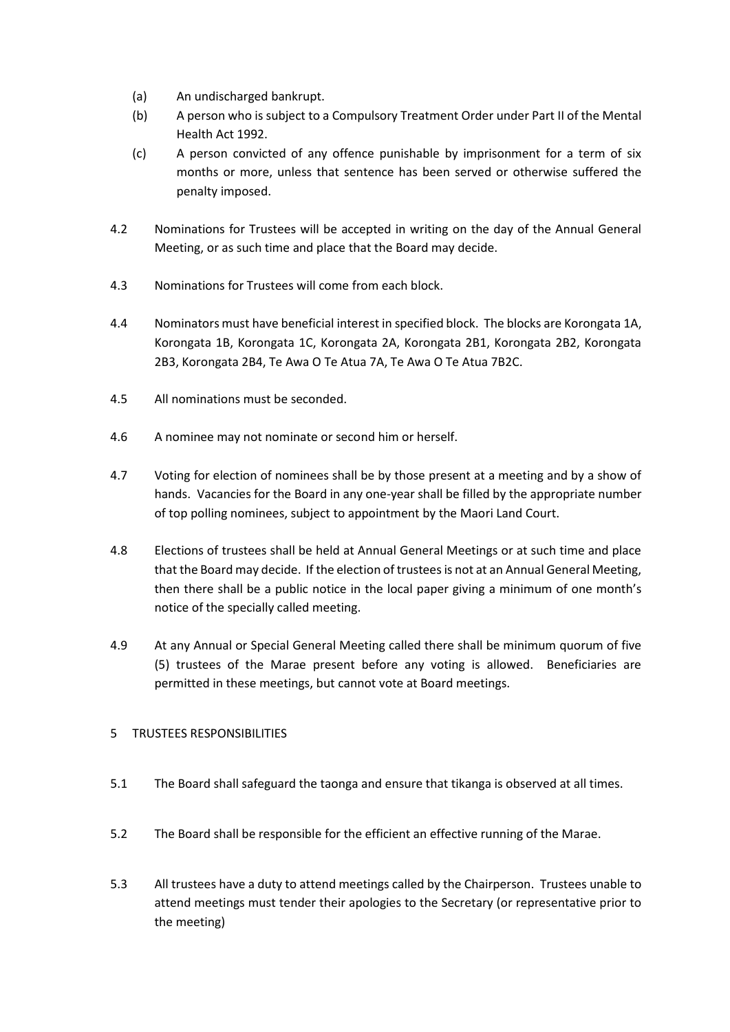- (a) An undischarged bankrupt.
- (b) A person who is subject to a Compulsory Treatment Order under Part II of the Mental Health Act 1992.
- (c) A person convicted of any offence punishable by imprisonment for a term of six months or more, unless that sentence has been served or otherwise suffered the penalty imposed.
- 4.2 Nominations for Trustees will be accepted in writing on the day of the Annual General Meeting, or as such time and place that the Board may decide.
- 4.3 Nominations for Trustees will come from each block.
- 4.4 Nominators must have beneficial interest in specified block. The blocks are Korongata 1A, Korongata 1B, Korongata 1C, Korongata 2A, Korongata 2B1, Korongata 2B2, Korongata 2B3, Korongata 2B4, Te Awa O Te Atua 7A, Te Awa O Te Atua 7B2C.
- 4.5 All nominations must be seconded.
- 4.6 A nominee may not nominate or second him or herself.
- 4.7 Voting for election of nominees shall be by those present at a meeting and by a show of hands. Vacancies for the Board in any one-year shall be filled by the appropriate number of top polling nominees, subject to appointment by the Maori Land Court.
- 4.8 Elections of trustees shall be held at Annual General Meetings or at such time and place that the Board may decide. If the election of trustees is not at an Annual General Meeting, then there shall be a public notice in the local paper giving a minimum of one month's notice of the specially called meeting.
- 4.9 At any Annual or Special General Meeting called there shall be minimum quorum of five (5) trustees of the Marae present before any voting is allowed. Beneficiaries are permitted in these meetings, but cannot vote at Board meetings.

#### 5 TRUSTEES RESPONSIBILITIES

- 5.1 The Board shall safeguard the taonga and ensure that tikanga is observed at all times.
- 5.2 The Board shall be responsible for the efficient an effective running of the Marae.
- 5.3 All trustees have a duty to attend meetings called by the Chairperson. Trustees unable to attend meetings must tender their apologies to the Secretary (or representative prior to the meeting)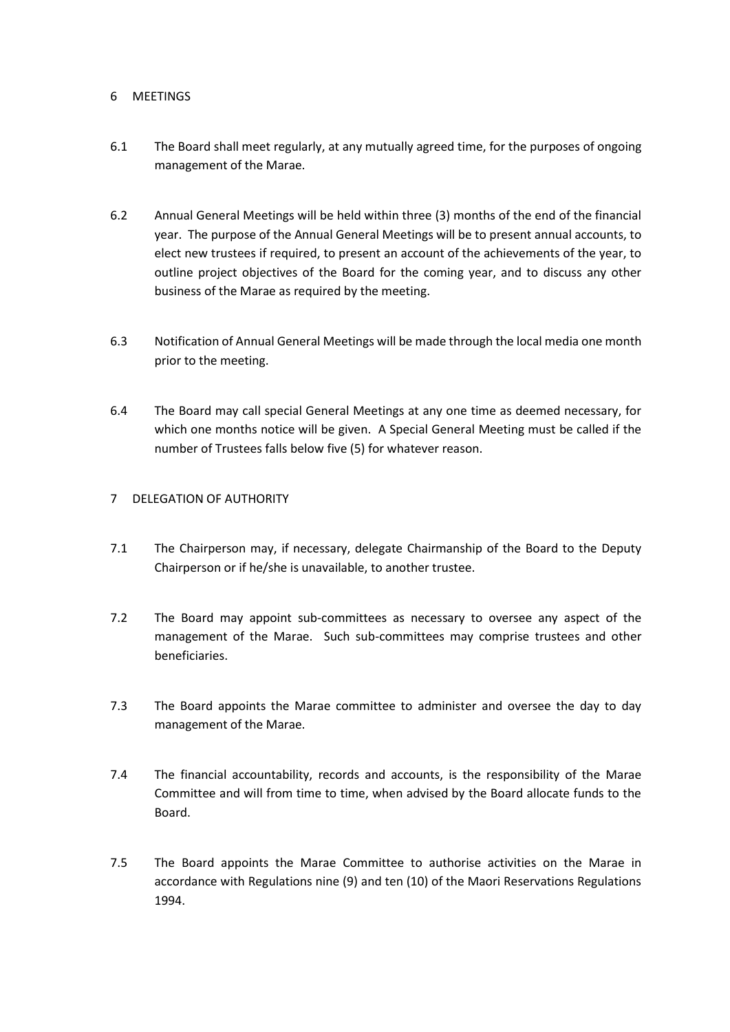#### 6 MEETINGS

- 6.1 The Board shall meet regularly, at any mutually agreed time, for the purposes of ongoing management of the Marae.
- 6.2 Annual General Meetings will be held within three (3) months of the end of the financial year. The purpose of the Annual General Meetings will be to present annual accounts, to elect new trustees if required, to present an account of the achievements of the year, to outline project objectives of the Board for the coming year, and to discuss any other business of the Marae as required by the meeting.
- 6.3 Notification of Annual General Meetings will be made through the local media one month prior to the meeting.
- 6.4 The Board may call special General Meetings at any one time as deemed necessary, for which one months notice will be given. A Special General Meeting must be called if the number of Trustees falls below five (5) for whatever reason.

#### 7 DELEGATION OF AUTHORITY

- 7.1 The Chairperson may, if necessary, delegate Chairmanship of the Board to the Deputy Chairperson or if he/she is unavailable, to another trustee.
- 7.2 The Board may appoint sub-committees as necessary to oversee any aspect of the management of the Marae. Such sub-committees may comprise trustees and other beneficiaries.
- 7.3 The Board appoints the Marae committee to administer and oversee the day to day management of the Marae.
- 7.4 The financial accountability, records and accounts, is the responsibility of the Marae Committee and will from time to time, when advised by the Board allocate funds to the Board.
- 7.5 The Board appoints the Marae Committee to authorise activities on the Marae in accordance with Regulations nine (9) and ten (10) of the Maori Reservations Regulations 1994.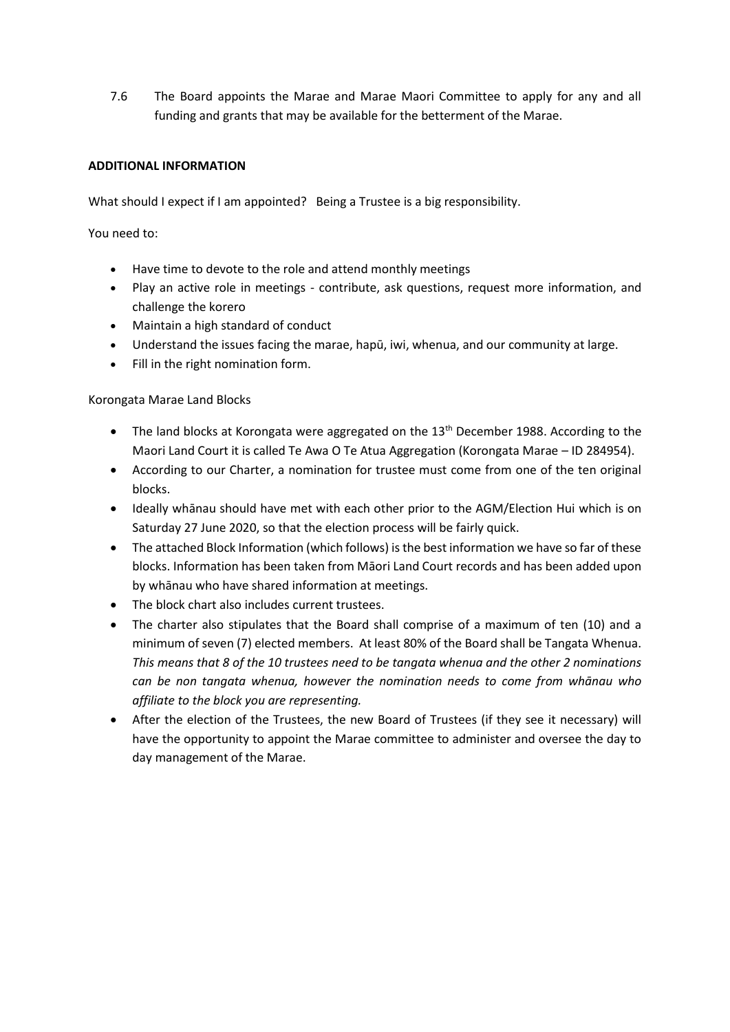7.6 The Board appoints the Marae and Marae Maori Committee to apply for any and all funding and grants that may be available for the betterment of the Marae.

#### **ADDITIONAL INFORMATION**

What should I expect if I am appointed? Being a Trustee is a big responsibility.

You need to:

- Have time to devote to the role and attend monthly meetings
- Play an active role in meetings contribute, ask questions, request more information, and challenge the korero
- Maintain a high standard of conduct
- Understand the issues facing the marae, hapū, iwi, whenua, and our community at large.
- Fill in the right nomination form.

Korongata Marae Land Blocks

- $\bullet$  The land blocks at Korongata were aggregated on the 13<sup>th</sup> December 1988. According to the Maori Land Court it is called Te Awa O Te Atua Aggregation (Korongata Marae – ID 284954).
- According to our Charter, a nomination for trustee must come from one of the ten original blocks.
- Ideally whānau should have met with each other prior to the AGM/Election Hui which is on Saturday 27 June 2020, so that the election process will be fairly quick.
- The attached Block Information (which follows) is the best information we have so far of these blocks. Information has been taken from Māori Land Court records and has been added upon by whānau who have shared information at meetings.
- The block chart also includes current trustees.
- The charter also stipulates that the Board shall comprise of a maximum of ten (10) and a minimum of seven (7) elected members. At least 80% of the Board shall be Tangata Whenua. *This means that 8 of the 10 trustees need to be tangata whenua and the other 2 nominations can be non tangata whenua, however the nomination needs to come from whānau who affiliate to the block you are representing.*
- After the election of the Trustees, the new Board of Trustees (if they see it necessary) will have the opportunity to appoint the Marae committee to administer and oversee the day to day management of the Marae.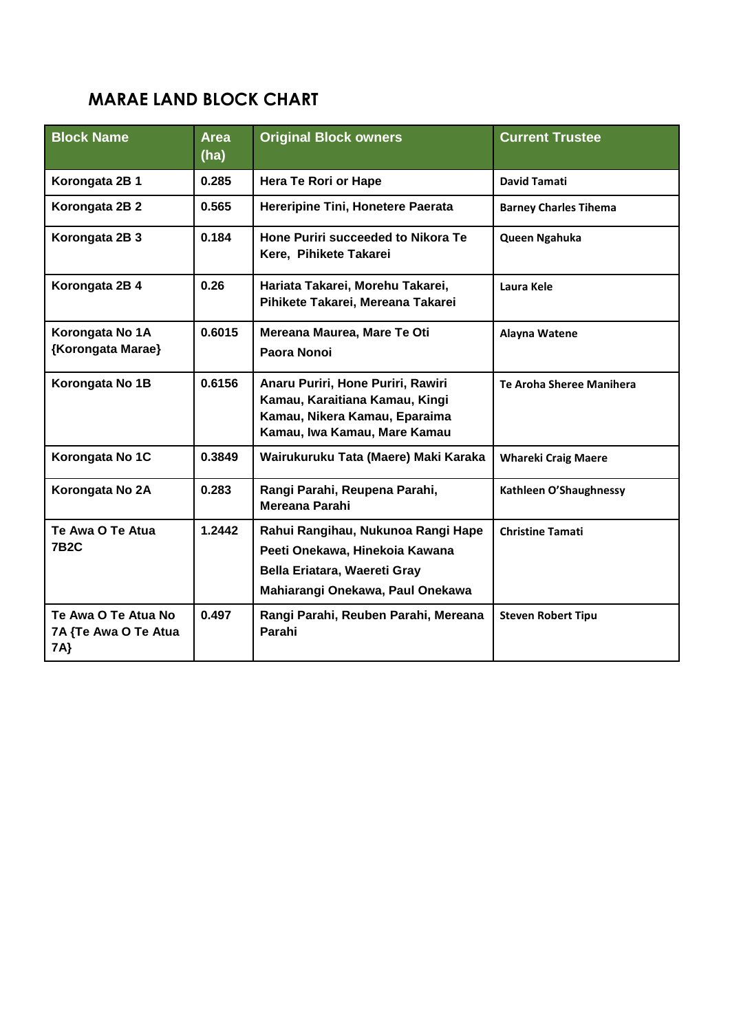## **MARAE LAND BLOCK CHART**

| <b>Block Name</b>                                  | <b>Area</b><br>(ha) | <b>Original Block owners</b>                                                                                                             | <b>Current Trustee</b>       |
|----------------------------------------------------|---------------------|------------------------------------------------------------------------------------------------------------------------------------------|------------------------------|
| Korongata 2B 1                                     | 0.285               | Hera Te Rori or Hape                                                                                                                     | <b>David Tamati</b>          |
| Korongata 2B 2                                     | 0.565               | Hereripine Tini, Honetere Paerata                                                                                                        | <b>Barney Charles Tihema</b> |
| Korongata 2B 3                                     | 0.184               | Hone Puriri succeeded to Nikora Te<br>Kere, Pihikete Takarei                                                                             | Queen Ngahuka                |
| Korongata 2B 4                                     | 0.26                | Hariata Takarei, Morehu Takarei,<br>Pihikete Takarei, Mereana Takarei                                                                    | Laura Kele                   |
| Korongata No 1A<br>{Korongata Marae}               | 0.6015              | Mereana Maurea, Mare Te Oti<br>Paora Nonoi                                                                                               | Alayna Watene                |
| Korongata No 1B                                    | 0.6156              | Anaru Puriri, Hone Puriri, Rawiri<br>Kamau, Karaitiana Kamau, Kingi<br>Kamau, Nikera Kamau, Eparaima<br>Kamau, Iwa Kamau, Mare Kamau     | Te Aroha Sheree Manihera     |
| Korongata No 1C                                    | 0.3849              | Wairukuruku Tata (Maere) Maki Karaka                                                                                                     | <b>Whareki Craig Maere</b>   |
| Korongata No 2A                                    | 0.283               | Rangi Parahi, Reupena Parahi,<br>Mereana Parahi                                                                                          | Kathleen O'Shaughnessy       |
| Te Awa O Te Atua<br><b>7B2C</b>                    | 1.2442              | Rahui Rangihau, Nukunoa Rangi Hape<br>Peeti Onekawa, Hinekoia Kawana<br>Bella Eriatara, Waereti Gray<br>Mahiarangi Onekawa, Paul Onekawa | <b>Christine Tamati</b>      |
| Te Awa O Te Atua No<br>7A {Te Awa O Te Atua<br>7A} | 0.497               | Rangi Parahi, Reuben Parahi, Mereana<br>Parahi                                                                                           | <b>Steven Robert Tipu</b>    |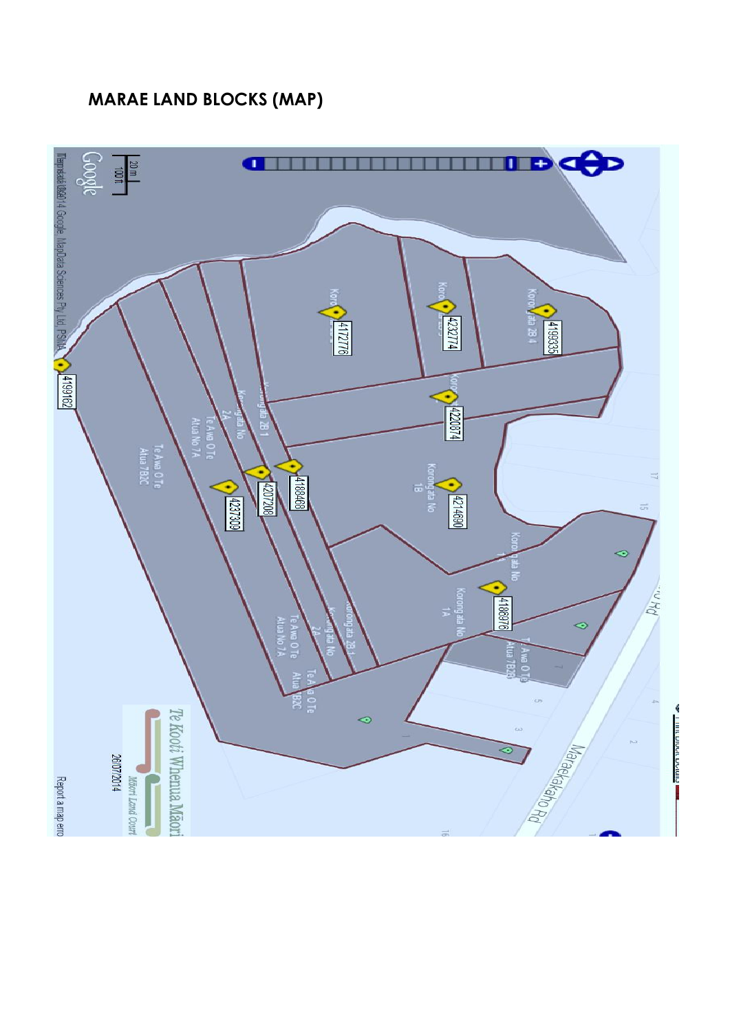## **MARAE LAND BLOCKS (MAP)**